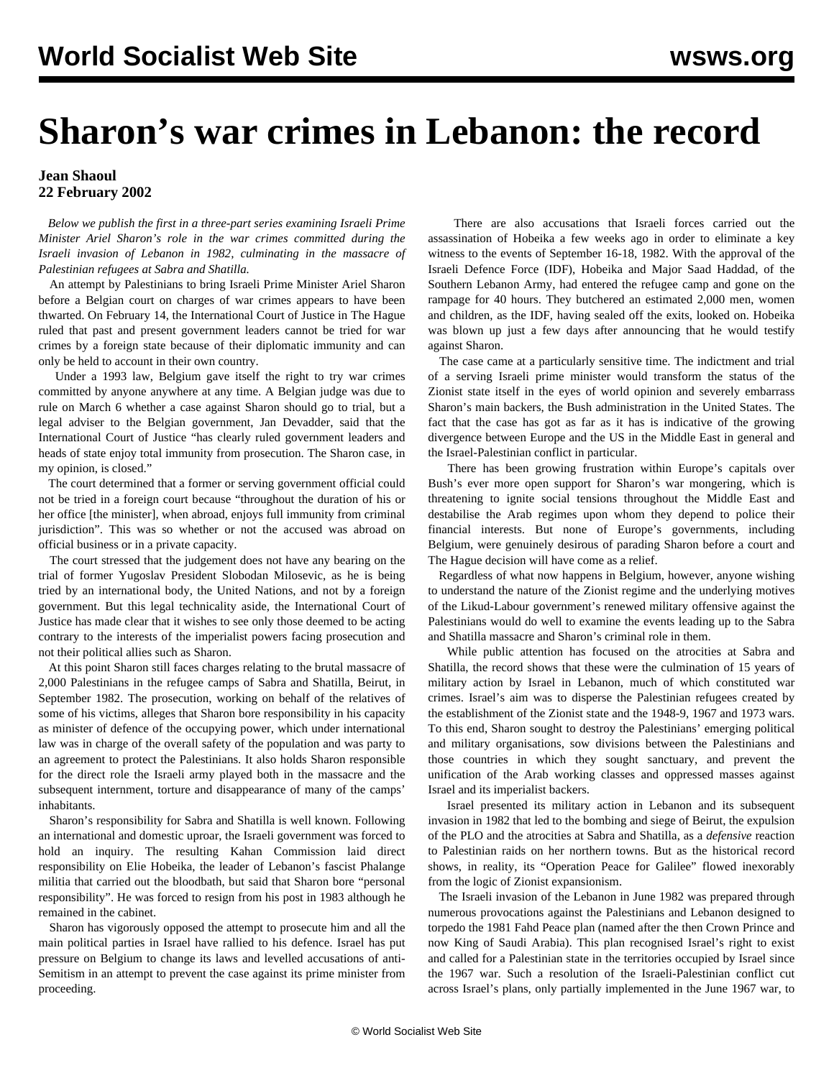## **Sharon's war crimes in Lebanon: the record**

## **Jean Shaoul 22 February 2002**

 *Below we publish the first in a three-part series examining Israeli Prime Minister Ariel Sharon's role in the war crimes committed during the Israeli invasion of Lebanon in 1982, culminating in the massacre of Palestinian refugees at Sabra and Shatilla.*

 An attempt by Palestinians to bring Israeli Prime Minister Ariel Sharon before a Belgian court on charges of war crimes appears to have been thwarted. On February 14, the International Court of Justice in The Hague ruled that past and present government leaders cannot be tried for war crimes by a foreign state because of their diplomatic immunity and can only be held to account in their own country.

 Under a 1993 law, Belgium gave itself the right to try war crimes committed by anyone anywhere at any time. A Belgian judge was due to rule on March 6 whether a case against Sharon should go to trial, but a legal adviser to the Belgian government, Jan Devadder, said that the International Court of Justice "has clearly ruled government leaders and heads of state enjoy total immunity from prosecution. The Sharon case, in my opinion, is closed."

 The court determined that a former or serving government official could not be tried in a foreign court because "throughout the duration of his or her office [the minister], when abroad, enjoys full immunity from criminal jurisdiction". This was so whether or not the accused was abroad on official business or in a private capacity.

 The court stressed that the judgement does not have any bearing on the trial of former Yugoslav President Slobodan Milosevic, as he is being tried by an international body, the United Nations, and not by a foreign government. But this legal technicality aside, the International Court of Justice has made clear that it wishes to see only those deemed to be acting contrary to the interests of the imperialist powers facing prosecution and not their political allies such as Sharon.

 At this point Sharon still faces charges relating to the brutal massacre of 2,000 Palestinians in the refugee camps of Sabra and Shatilla, Beirut, in September 1982. The prosecution, working on behalf of the relatives of some of his victims, alleges that Sharon bore responsibility in his capacity as minister of defence of the occupying power, which under international law was in charge of the overall safety of the population and was party to an agreement to protect the Palestinians. It also holds Sharon responsible for the direct role the Israeli army played both in the massacre and the subsequent internment, torture and disappearance of many of the camps' inhabitants.

 Sharon's responsibility for Sabra and Shatilla is well known. Following an international and domestic uproar, the Israeli government was forced to hold an inquiry. The resulting Kahan Commission laid direct responsibility on Elie Hobeika, the leader of Lebanon's fascist Phalange militia that carried out the bloodbath, but said that Sharon bore "personal responsibility". He was forced to resign from his post in 1983 although he remained in the cabinet.

 Sharon has vigorously opposed the attempt to prosecute him and all the main political parties in Israel have rallied to his defence. Israel has put pressure on Belgium to change its laws and levelled accusations of anti-Semitism in an attempt to prevent the case against its prime minister from proceeding.

 There are also accusations that Israeli forces carried out the assassination of Hobeika a few weeks ago in order to eliminate a key witness to the events of September 16-18, 1982. With the approval of the Israeli Defence Force (IDF), Hobeika and Major Saad Haddad, of the Southern Lebanon Army, had entered the refugee camp and gone on the rampage for 40 hours. They butchered an estimated 2,000 men, women and children, as the IDF, having sealed off the exits, looked on. Hobeika was blown up just a few days after announcing that he would testify against Sharon.

 The case came at a particularly sensitive time. The indictment and trial of a serving Israeli prime minister would transform the status of the Zionist state itself in the eyes of world opinion and severely embarrass Sharon's main backers, the Bush administration in the United States. The fact that the case has got as far as it has is indicative of the growing divergence between Europe and the US in the Middle East in general and the Israel-Palestinian conflict in particular.

 There has been growing frustration within Europe's capitals over Bush's ever more open support for Sharon's war mongering, which is threatening to ignite social tensions throughout the Middle East and destabilise the Arab regimes upon whom they depend to police their financial interests. But none of Europe's governments, including Belgium, were genuinely desirous of parading Sharon before a court and The Hague decision will have come as a relief.

 Regardless of what now happens in Belgium, however, anyone wishing to understand the nature of the Zionist regime and the underlying motives of the Likud-Labour government's renewed military offensive against the Palestinians would do well to examine the events leading up to the Sabra and Shatilla massacre and Sharon's criminal role in them.

 While public attention has focused on the atrocities at Sabra and Shatilla, the record shows that these were the culmination of 15 years of military action by Israel in Lebanon, much of which constituted war crimes. Israel's aim was to disperse the Palestinian refugees created by the establishment of the Zionist state and the 1948-9, 1967 and 1973 wars. To this end, Sharon sought to destroy the Palestinians' emerging political and military organisations, sow divisions between the Palestinians and those countries in which they sought sanctuary, and prevent the unification of the Arab working classes and oppressed masses against Israel and its imperialist backers.

 Israel presented its military action in Lebanon and its subsequent invasion in 1982 that led to the bombing and siege of Beirut, the expulsion of the PLO and the atrocities at Sabra and Shatilla, as a *defensive* reaction to Palestinian raids on her northern towns. But as the historical record shows, in reality, its "Operation Peace for Galilee" flowed inexorably from the logic of Zionist expansionism.

 The Israeli invasion of the Lebanon in June 1982 was prepared through numerous provocations against the Palestinians and Lebanon designed to torpedo the 1981 Fahd Peace plan (named after the then Crown Prince and now King of Saudi Arabia). This plan recognised Israel's right to exist and called for a Palestinian state in the territories occupied by Israel since the 1967 war. Such a resolution of the Israeli-Palestinian conflict cut across Israel's plans, only partially implemented in the June 1967 war, to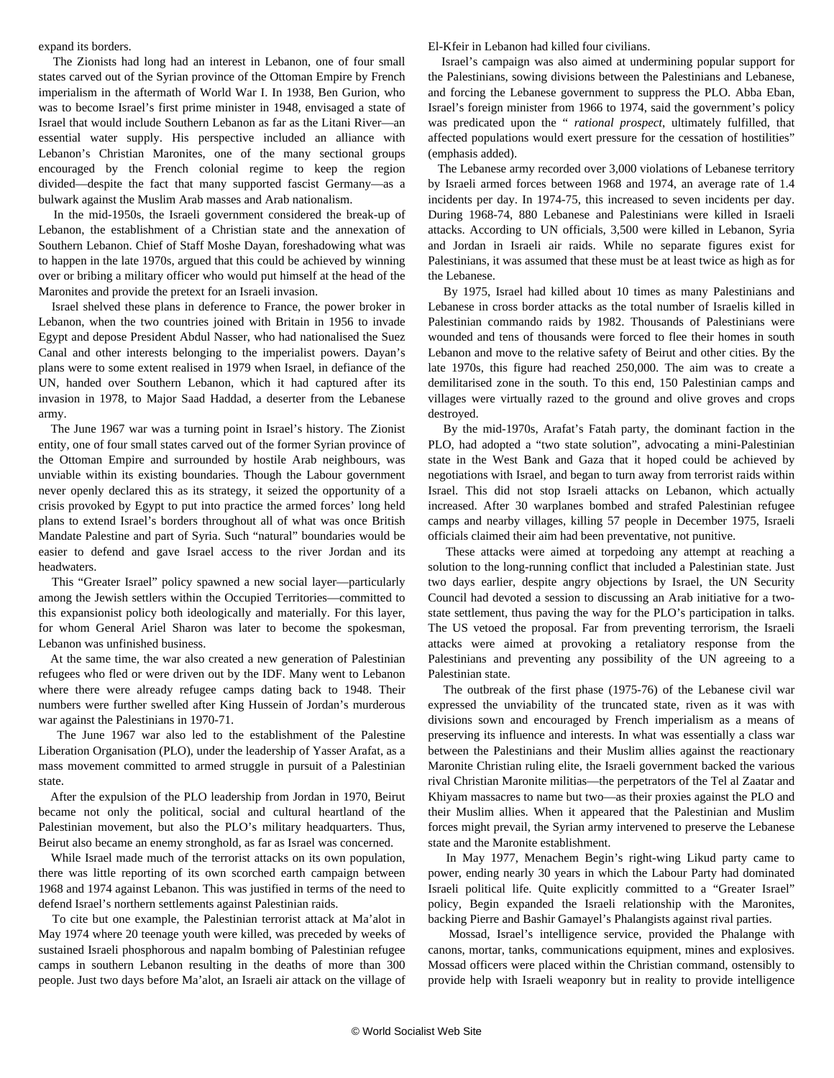expand its borders.

 The Zionists had long had an interest in Lebanon, one of four small states carved out of the Syrian province of the Ottoman Empire by French imperialism in the aftermath of World War I. In 1938, Ben Gurion, who was to become Israel's first prime minister in 1948, envisaged a state of Israel that would include Southern Lebanon as far as the Litani River—an essential water supply. His perspective included an alliance with Lebanon's Christian Maronites, one of the many sectional groups encouraged by the French colonial regime to keep the region divided—despite the fact that many supported fascist Germany—as a bulwark against the Muslim Arab masses and Arab nationalism.

 In the mid-1950s, the Israeli government considered the break-up of Lebanon, the establishment of a Christian state and the annexation of Southern Lebanon. Chief of Staff Moshe Dayan, foreshadowing what was to happen in the late 1970s, argued that this could be achieved by winning over or bribing a military officer who would put himself at the head of the Maronites and provide the pretext for an Israeli invasion.

 Israel shelved these plans in deference to France, the power broker in Lebanon, when the two countries joined with Britain in 1956 to invade Egypt and depose President Abdul Nasser, who had nationalised the Suez Canal and other interests belonging to the imperialist powers. Dayan's plans were to some extent realised in 1979 when Israel, in defiance of the UN, handed over Southern Lebanon, which it had captured after its invasion in 1978, to Major Saad Haddad, a deserter from the Lebanese army.

 The June 1967 war was a turning point in Israel's history. The Zionist entity, one of four small states carved out of the former Syrian province of the Ottoman Empire and surrounded by hostile Arab neighbours, was unviable within its existing boundaries. Though the Labour government never openly declared this as its strategy, it seized the opportunity of a crisis provoked by Egypt to put into practice the armed forces' long held plans to extend Israel's borders throughout all of what was once British Mandate Palestine and part of Syria. Such "natural" boundaries would be easier to defend and gave Israel access to the river Jordan and its headwaters.

 This "Greater Israel" policy spawned a new social layer—particularly among the Jewish settlers within the Occupied Territories—committed to this expansionist policy both ideologically and materially. For this layer, for whom General Ariel Sharon was later to become the spokesman, Lebanon was unfinished business.

 At the same time, the war also created a new generation of Palestinian refugees who fled or were driven out by the IDF. Many went to Lebanon where there were already refugee camps dating back to 1948. Their numbers were further swelled after King Hussein of Jordan's murderous war against the Palestinians in 1970-71.

 The June 1967 war also led to the establishment of the Palestine Liberation Organisation (PLO), under the leadership of Yasser Arafat, as a mass movement committed to armed struggle in pursuit of a Palestinian state.

 After the expulsion of the PLO leadership from Jordan in 1970, Beirut became not only the political, social and cultural heartland of the Palestinian movement, but also the PLO's military headquarters. Thus, Beirut also became an enemy stronghold, as far as Israel was concerned.

 While Israel made much of the terrorist attacks on its own population, there was little reporting of its own scorched earth campaign between 1968 and 1974 against Lebanon. This was justified in terms of the need to defend Israel's northern settlements against Palestinian raids.

 To cite but one example, the Palestinian terrorist attack at Ma'alot in May 1974 where 20 teenage youth were killed, was preceded by weeks of sustained Israeli phosphorous and napalm bombing of Palestinian refugee camps in southern Lebanon resulting in the deaths of more than 300 people. Just two days before Ma'alot, an Israeli air attack on the village of El-Kfeir in Lebanon had killed four civilians.

 Israel's campaign was also aimed at undermining popular support for the Palestinians, sowing divisions between the Palestinians and Lebanese, and forcing the Lebanese government to suppress the PLO. Abba Eban, Israel's foreign minister from 1966 to 1974, said the government's policy was predicated upon the " *rational prospect*, ultimately fulfilled, that affected populations would exert pressure for the cessation of hostilities" (emphasis added).

 The Lebanese army recorded over 3,000 violations of Lebanese territory by Israeli armed forces between 1968 and 1974, an average rate of 1.4 incidents per day. In 1974-75, this increased to seven incidents per day. During 1968-74, 880 Lebanese and Palestinians were killed in Israeli attacks. According to UN officials, 3,500 were killed in Lebanon, Syria and Jordan in Israeli air raids. While no separate figures exist for Palestinians, it was assumed that these must be at least twice as high as for the Lebanese.

 By 1975, Israel had killed about 10 times as many Palestinians and Lebanese in cross border attacks as the total number of Israelis killed in Palestinian commando raids by 1982. Thousands of Palestinians were wounded and tens of thousands were forced to flee their homes in south Lebanon and move to the relative safety of Beirut and other cities. By the late 1970s, this figure had reached 250,000. The aim was to create a demilitarised zone in the south. To this end, 150 Palestinian camps and villages were virtually razed to the ground and olive groves and crops destroyed.

 By the mid-1970s, Arafat's Fatah party, the dominant faction in the PLO, had adopted a "two state solution", advocating a mini-Palestinian state in the West Bank and Gaza that it hoped could be achieved by negotiations with Israel, and began to turn away from terrorist raids within Israel. This did not stop Israeli attacks on Lebanon, which actually increased. After 30 warplanes bombed and strafed Palestinian refugee camps and nearby villages, killing 57 people in December 1975, Israeli officials claimed their aim had been preventative, not punitive.

 These attacks were aimed at torpedoing any attempt at reaching a solution to the long-running conflict that included a Palestinian state. Just two days earlier, despite angry objections by Israel, the UN Security Council had devoted a session to discussing an Arab initiative for a twostate settlement, thus paving the way for the PLO's participation in talks. The US vetoed the proposal. Far from preventing terrorism, the Israeli attacks were aimed at provoking a retaliatory response from the Palestinians and preventing any possibility of the UN agreeing to a Palestinian state.

 The outbreak of the first phase (1975-76) of the Lebanese civil war expressed the unviability of the truncated state, riven as it was with divisions sown and encouraged by French imperialism as a means of preserving its influence and interests. In what was essentially a class war between the Palestinians and their Muslim allies against the reactionary Maronite Christian ruling elite, the Israeli government backed the various rival Christian Maronite militias—the perpetrators of the Tel al Zaatar and Khiyam massacres to name but two—as their proxies against the PLO and their Muslim allies. When it appeared that the Palestinian and Muslim forces might prevail, the Syrian army intervened to preserve the Lebanese state and the Maronite establishment.

 In May 1977, Menachem Begin's right-wing Likud party came to power, ending nearly 30 years in which the Labour Party had dominated Israeli political life. Quite explicitly committed to a "Greater Israel" policy, Begin expanded the Israeli relationship with the Maronites, backing Pierre and Bashir Gamayel's Phalangists against rival parties.

 Mossad, Israel's intelligence service, provided the Phalange with canons, mortar, tanks, communications equipment, mines and explosives. Mossad officers were placed within the Christian command, ostensibly to provide help with Israeli weaponry but in reality to provide intelligence